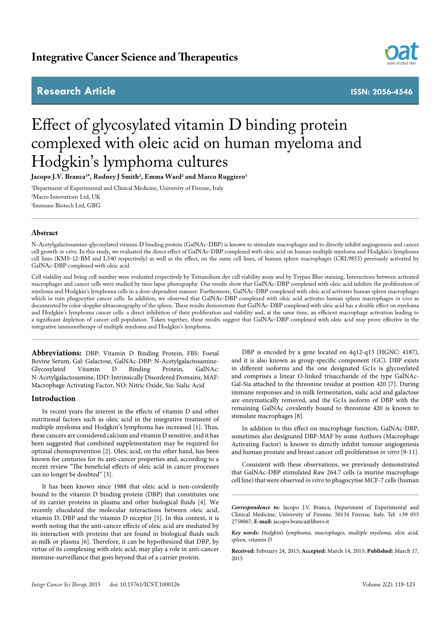# **Integrative Cancer Science and Therapeutics**

# **Research Article ISSN: 2056-4546**



# Effect of glycosylated vitamin D binding protein complexed with oleic acid on human myeloma and Hodgkin's lymphoma cultures

**Jacopo J.V. Branca1 \*, Rodney J Smith2 , Emma Ward2 and Marco Ruggiero3**

1 Department of Experimental and Clinical Medicine, University of Firenze, Italy 2 Macro Innovations Ltd, UK 3 Immuno Biotech Ltd, GBG

# **Abstract**

N-Acetylgalactosamine-glycosylated vitamin D binding protein (GalNAc-DBP) is known to stimulate macrophages and to directly inhibit angiogenesis and cancer cell growth *in vitro*. In this study, we evaluated the direct effect of GalNAc-DBP complexed with oleic acid on human multiple myeloma and Hodgkin's lymphoma cell lines (KMS-12-BM and L540 respectively) as well as the effect, on the same cell lines, of human spleen macrophages (CRL9853) previously activated by GalNAc-DBP complexed with oleic acid.

Cell viability and living cell number were evaluated respectively by Tetrazolium dye cell viability assay and by Trypan Blue staining. Interactions between activated macrophages and cancer cells were studied by time lapse photography. Our results show that GalNAc-DBP complexed with oleic acid inhibits the proliferation of myeloma and Hodgkin's lymphoma cells in a dose-dependent manner. Furthermore, GalNAc-DBP complexed with oleic acid activates human spleen macrophages which in turn phagocytise cancer cells. In addition, we observed that GalNAc-DBP complexed with oleic acid activates human spleen macrophages *in vivo* as documented by color-doppler ultrasonography of the spleen. These results demonstrate that GalNAc-DBP complexed with oleic acid has a double effect on myeloma and Hodgkin's lymphoma cancer cells: a direct inhibition of their proliferation and viability and, at the same time, an efficient macrophage activation leading to a significant depletion of cancer cell population. Taken together, these results suggest that GalNAc-DBP complexed with oleic acid may prove effective in the integrative immunotherapy of multiple myeloma and Hodgkin's lymphoma.

**Abbreviations:** DBP: Vitamin D Binding Protein, FBS: Foetal Bovine Serum, Gal: Galactose, GalNAc-DBP: N-Acetylgalactosamine-Glycosylated Vitamin D Binding Protein, GalNAc: N-Acetylgalactosamine, IDD: Intrinsically Disordered Domains, MAF: Macrophage Activating Factor, NO: Nitric Oxide, Sia: Sialic Acid

### **Introduction**

In recent years the interest in the effects of vitamin D and other nutritional factors such as oleic acid in the integrative treatment of multiple myeloma and Hodgkin's lymphoma has increased [1]. Thus, these cancers are considered calcium and vitamin D sensitive, and it has been suggested that combined supplementation may be required for optimal chemoprevention [2]. Oleic acid, on the other hand, has been known for centuries for its anti-cancer properties and, according to a recent review "The beneficial effects of oleic acid in cancer processes can no longer be doubted" [3].

It has been known since 1988 that oleic acid is non-covalently bound to the vitamin D binding protein (DBP) that constitutes one of its carrier proteins in plasma and other biological fluids [4]. We recently elucidated the molecular interactions between oleic acid, vitamin D, DBP and the vitamin D receptor [5]. In this context, it is worth noting that the anti-cancer effects of oleic acid are mediated by its interaction with proteins that are found in biological fluids such as milk or plasma [6]. Therefore, it can be hypothesized that DBP, by virtue of its complexing with oleic acid, may play a role in anti-cancer immune-surveillance that goes beyond that of a carrier protein.

DBP is encoded by a gene located on 4q12-q13 (HGNC: 4187), and it is also known as group-specific component (GC). DBP exists in different isoforms and the one designated Gc1s is glycosylated and comprises a linear O-linked trisaccharide of the type GalNAc-Gal-Sia attached to the threonine residue at position 420 [7]. During immune responses and in milk fermentation, sialic acid and galactose are enzymatically removed, and the Gc1s isoform of DBP with the remaining GalNAc covalently bound to threonine 420 is known to stimulate macrophages [8].

In addition to this effect on macrophage function, GalNAc-DBP, sometimes also designated DBP-MAF by some Authors (Macrophage Activating Factor) is known to directly inhibit tumour angiogenesis and human prostate and breast cancer cell proliferation *in vitro* [9-11].

Consistent with these observations, we previously demonstrated that GalNAc-DBP stimulated Raw 264.7 cells (a murine macrophage cell line) that were observed *in vitro* to phagocytise MCF-7 cells (human

*Correspondence to:* Jacopo J.V. Branca, Department of Experimental and Clinical Medicine, University of Firenze, 50134 Firenze, Italy, Tel: +39 055 2758067; **E-mail:** jacopo.branca@libero.it

*Key words: Hodgkin's lymphoma, macrophages, multiple myeloma, oleic acid, spleen, vitamin D*

**Received:** February 24, 2015; **Accepted:** March 14, 2015; **Published:** March 17, 2015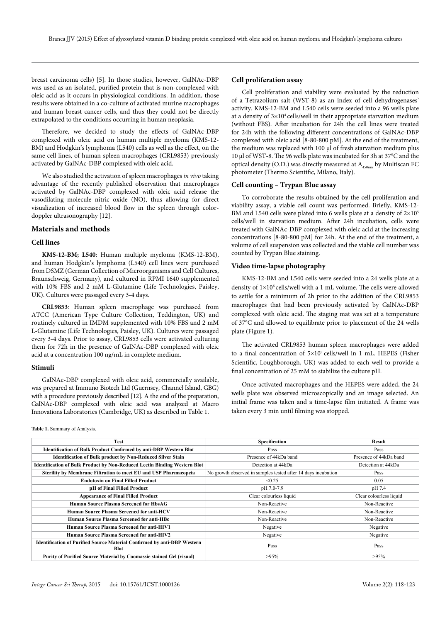breast carcinoma cells) [5]. In those studies, however, GalNAc-DBP was used as an isolated, purified protein that is non-complexed with oleic acid as it occurs in physiological conditions. In addition, those results were obtained in a co-culture of activated murine macrophages and human breast cancer cells, and thus they could not be directly extrapolated to the conditions occurring in human neoplasia.

Therefore, we decided to study the effects of GalNAc-DBP complexed with oleic acid on human multiple myeloma (KMS-12- BM) and Hodgkin's lymphoma (L540) cells as well as the effect, on the same cell lines, of human spleen macrophages (CRL9853) previously activated by GalNAc-DBP complexed with oleic acid.

We also studied the activation of spleen macrophages *in vivo* taking advantage of the recently published observation that macrophages activated by GalNAc-DBP complexed with oleic acid release the vasodilating molecule nitric oxide (NO), thus allowing for direct visualization of increased blood flow in the spleen through colordoppler ultrasonography [12].

# **Materials and methods**

#### **Cell lines**

**KMS-12-BM; L540**: Human multiple myeloma (KMS-12-BM), and human Hodgkin's lymphoma (L540) cell lines were purchased from DSMZ (German Collection of Microorganisms and Cell Cultures, Braunschweig, Germany), and cultured in RPMI 1640 supplemented with 10% FBS and 2 mM L-Glutamine (Life Technologies, Paisley, UK). Cultures were passaged every 3-4 days.

**CRL9853***:* Human spleen macrophage was purchased from ATCC (American Type Culture Collection, Teddington, UK) and routinely cultured in IMDM supplemented with 10% FBS and 2 mM L-Glutamine (Life Technologies, Paisley, UK). Cultures were passaged every 3-4 days. Prior to assay, CRL9853 cells were activated culturing them for 72h in the presence of GalNAc-DBP complexed with oleic acid at a concentration 100 ng/mL in complete medium.

#### **Stimuli**

GalNAc-DBP complexed with oleic acid, commercially available, was prepared at Immuno Biotech Ltd (Guernsey, Channel Island, GBG) with a procedure previously described [12]. A the end of the preparation, GalNAc-DBP complexed with oleic acid was analyzed at Macro Innovations Laboratories (Cambridge, UK) as described in Table 1.

**Table 1.** Summary of Analysis.

### **Cell proliferation assay**

Cell proliferation and viability were evaluated by the reduction of a Tetrazolium salt (WST-8) as an index of cell dehydrogenases' activity. KMS-12-BM and L540 cells were seeded into a 96 wells plate at a density of  $3\times10^4$  cells/well in their appropriate starvation medium (without FBS). After incubation for 24h the cell lines were treated for 24h with the following different concentrations of GalNAc-DBP complexed with oleic acid [8-80-800 pM]. At the end of the treatment, the medium was replaced with 100 µl of fresh starvation medium plus 10 µl of WST-8. The 96 wells plate was incubated for 3h at 37°C and the optical density (O.D.) was directly measured at  $A_{450nm}$  by Multiscan FC photometer (Thermo Scientific, Milano, Italy).

#### **Cell counting – Trypan Blue assay**

To corroborate the results obtained by the cell proliferation and viability assay, a viable cell count was performed. Briefly, KMS-12- BM and L540 cells were plated into 6 wells plate at a density of  $2\times10^{5}$ cells/well in starvation medium. After 24h incubation, cells were treated with GalNAc-DBP complexed with oleic acid at the increasing concentrations [8-80-800 pM] for 24h. At the end of the treatment, a volume of cell suspension was collected and the viable cell number was counted by Trypan Blue staining.

### **Video time-lapse photography**

KMS-12-BM and L540 cells were seeded into a 24 wells plate at a density of  $1\times10^6$  cells/well with a 1 mL volume. The cells were allowed to settle for a minimum of 2h prior to the addition of the CRL9853 macrophages that had been previously activated by GalNAc-DBP complexed with oleic acid. The staging mat was set at a temperature of 37°C and allowed to equilibrate prior to placement of the 24 wells plate (Figure 1).

The activated CRL9853 human spleen macrophages were added to a final concentration of  $5\times10^5$  cells/well in 1 mL. HEPES (Fisher Scientific, Loughborough, UK) was added to each well to provide a final concentration of 25 mM to stabilize the culture pH.

Once activated macrophages and the HEPES were added, the 24 wells plate was observed microscopically and an image selected. An initial frame was taken and a time-lapse film initiated. A frame was taken every 3 min until filming was stopped.

| Test                                                                                    | Specification                                                 | Result                  |
|-----------------------------------------------------------------------------------------|---------------------------------------------------------------|-------------------------|
| <b>Identification of Bulk Product Confirmed by anti-DBP Western Blot</b>                | Pass                                                          | Pass                    |
| <b>Identification of Bulk product by Non-Reduced Silver Stain</b>                       | Presence of 44kDa band                                        | Presence of 44kDa band  |
| <b>Identification of Bulk Product by Non-Reduced Lectin Binding Western Blot</b>        | Detection at 44kDa                                            | Detection at 44kDa      |
| Sterility by Membrane Filtration to meet EU and USP Pharmacopeia                        | No growth observed in samples tested after 14 days incubation | Pass                    |
| <b>Endotoxin on Final Filled Product</b>                                                | < 0.25                                                        | 0.05                    |
| pH of Final Filled Product                                                              | pH 7.0-7.9                                                    | pH 7.4                  |
| <b>Appearance of Final Filled Product</b>                                               | Clear colourless liquid                                       | Clear colourless liquid |
| Human Source Plasma Screened for HbsAG                                                  | Non-Reactive                                                  | Non-Reactive            |
| Human Source Plasma Screened for anti-HCV                                               | Non-Reactive                                                  | Non-Reactive            |
| Human Source Plasma Screened for anti-HBc                                               | Non-Reactive                                                  | Non-Reactive            |
| <b>Human Source Plasma Screened for anti-HIV1</b>                                       | Negative                                                      | Negative                |
| Human Source Plasma Screened for anti-HIV2                                              | Negative                                                      | Negative                |
| <b>Identification of Purified Source Material Confirmed by anti-DBP Western</b><br>Blot | Pass                                                          | Pass                    |
| Purity of Purified Source Material by Coomassie stained Gel (visual)                    | $>95\%$                                                       | $>95\%$                 |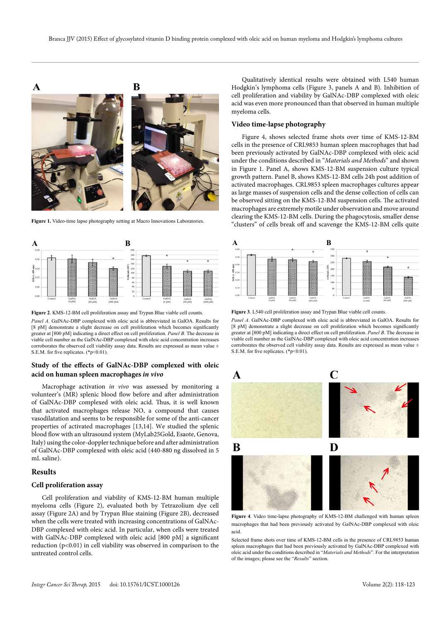



**Figure 2**. KMS-12-BM cell proliferation assay and Trypan Blue viable cell counts. *Panel A*. GalNAc-DBP complexed with oleic acid is abbreviated in GalOA. Results for [8 pM] demonstrate a slight decrease on cell proliferation which becomes significantly greater at [800 pM] indicating a direct effect on cell proliferation. *Panel B*. The decrease in viable cell number as the GalNAc-DBP complexed with oleic acid concentration increases corroborates the observed cell viability assay data. Results are expressed as mean value  $\pm$ S.E.M. for five replicates. (\*p<0.01).

# **Study of the effects of GalNAc-DBP complexed with oleic acid on human spleen macrophages** *in vivo*

Macrophage activation *in vivo* was assessed by monitoring a volunteer's (MR) splenic blood flow before and after administration of GalNAc-DBP complexed with oleic acid. Thus, it is well known that activated macrophages release NO, a compound that causes vasodilatation and seems to be responsible for some of the anti-cancer properties of activated macrophages [13,14]. We studied the splenic blood flow with an ultrasound system (MyLab25Gold, Esaote, Genova, Italy) using the color-doppler technique before and after administration of GalNAc-DBP complexed with oleic acid (440-880 ng dissolved in 5 mL saline).

### **Results**

#### **Cell proliferation assay**

Cell proliferation and viability of KMS-12-BM human multiple myeloma cells (Figure 2), evaluated both by Tetrazolium dye cell assay (Figure 2A) and by Trypan Blue staining (Figure 2B), decreased when the cells were treated with increasing concentrations of GalNAc-DBP complexed with oleic acid. In particular, when cells were treated with GalNAc-DBP complexed with oleic acid [800 pM] a significant reduction (p<0.01) in cell viability was observed in comparison to the untreated control cells.

Qualitatively identical results were obtained with L540 human Hodgkin's lymphoma cells (Figure 3, panels A and B). Inhibition of cell proliferation and viability by GalNAc-DBP complexed with oleic acid was even more pronounced than that observed in human multiple myeloma cells.

#### **Video time-lapse photography**

Figure 4, shows selected frame shots over time of KMS-12-BM cells in the presence of CRL9853 human spleen macrophages that had been previously activated by GalNAc-DBP complexed with oleic acid under the conditions described in "*Materials and Methods*" and shown in Figure 1. Panel A, shows KMS-12-BM suspension culture typical growth pattern. Panel B, shows KMS-12-BM cells 24h post addition of activated macrophages. CRL9853 spleen macrophages cultures appear as large masses of suspension cells and the dense collection of cells can be observed sitting on the KMS-12-BM suspension cells. The activated macrophages are extremely motile under observation and move around clearing the KMS-12-BM cells. During the phagocytosis, smaller dense Figure 1. Video-time lapse photography setting at Macro Innovations Laboratories.<br>
"clusters" of cells break off and scavenge the KMS-12-BM cells quite



**Figure 3**. L540 cell proliferation assay and Trypan Blue viable cell counts.

*Panel A*. GalNAc-DBP complexed with oleic acid is abbreviated in GalOA. Results for [8 pM] demonstrate a slight decrease on cell proliferation which becomes significantly greater at [800 pM] indicating a direct effect on cell proliferation. *Panel B*. The decrease in viable cell number as the GalNAc-DBP complexed with oleic acid concentration increases corroborates the observed cell viability assay data. Results are expressed as mean value  $\pm$ S.E.M. for five replicates. (\*p<0.01).



**Figure 4**. Video time-lapse photography of KMS-12-BM challenged with human spleen macrophages that had been previously activated by GalNAc-DBP complexed with oleic acid.

Selected frame shots over time of KMS-12-BM cells in the presence of CRL9853 human spleen macrophages that had been previously activated by GalNAc-DBP complexed with oleic acid under the conditions described in "*Materials and Methods*". For the interpretation of the images; please see the "*Results*" section.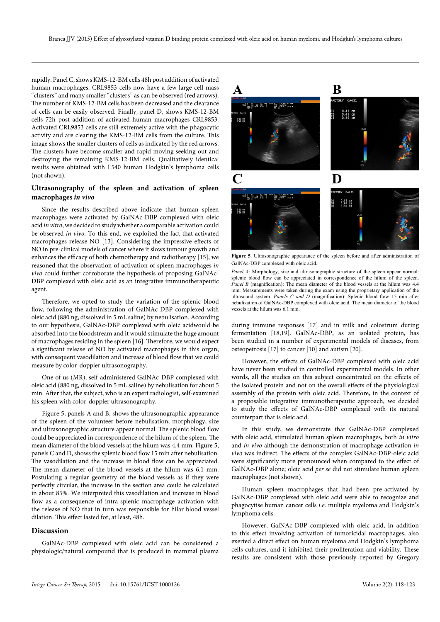rapidly. Panel C, shows KMS-12-BM cells 48h post addition of activated human macrophages. CRL9853 cells now have a few large cell mass "clusters" and many smaller "clusters" as can be observed (red arrows). The number of KMS-12-BM cells has been decreased and the clearance of cells can be easily observed. Finally, panel D, shows KMS-12-BM cells 72h post addition of activated human macrophages CRL9853. Activated CRL9853 cells are still extremely active with the phagocytic activity and are clearing the KMS-12-BM cells from the culture. This image shows the smaller clusters of cells as indicated by the red arrows. The clusters have become smaller and rapid moving seeking out and destroying the remaining KMS-12-BM cells. Qualitatively identical results were obtained with L540 human Hodgkin's lymphoma cells (not shown).

# **Ultrasonography of the spleen and activation of spleen macrophages** *in vivo*

Since the results described above indicate that human spleen macrophages were activated by GalNAc-DBP complexed with oleic acid *in vitro*, we decided to study whether a comparable activation could be observed *in vivo*. To this end, we exploited the fact that activated macrophages release NO [13]. Considering the impressive effects of NO in pre-clinical models of cancer where it slows tumour growth and enhances the efficacy of both chemotherapy and radiotherapy [15], we reasoned that the observation of activation of spleen macrophages *in vivo* could further corroborate the hypothesis of proposing GalNAc-DBP complexed with oleic acid as an integrative immunotherapeutic agent.

Therefore, we opted to study the variation of the splenic blood flow, following the administration of GalNAc-DBP complexed with oleic acid (880 ng, dissolved in 5 mL saline) by nebulisation. According to our hypothesis, GalNAc-DBP complexed with oleic acidwould be absorbed into the bloodstream and it would stimulate the huge amount of macrophages residing in the spleen [16]. Therefore, we would expect a significant release of NO by activated macrophages in this organ, with consequent vasodilation and increase of blood flow that we could measure by color-doppler ultrasonography.

One of us (MR), self-administered GalNAc-DBP complexed with oleic acid (880 ng, dissolved in 5 mL saline) by nebulisation for about 5 min. After that, the subject, who is an expert radiologist, self-examined his spleen with color-doppler ultrasonography.

Figure 5, panels A and B, shows the ultrasonographic appearance of the spleen of the volunteer before nebulisation; morphology, size and ultrasonographic structure appear normal. The splenic blood flow could be appreciated in correspondence of the hilum of the spleen. The mean diameter of the blood vessels at the hilum was 4.4 mm. Figure 5, panels C and D, shows the splenic blood flow 15 min after nebulisation. The vasodilation and the increase in blood flow can be appreciated. The mean diameter of the blood vessels at the hilum was 6.1 mm. Postulating a regular geometry of the blood vessels as if they were perfectly circular, the increase in the section area could be calculated in about 85%. We interpreted this vasodilation and increase in blood flow as a consequence of intra-splenic macrophage activation with the release of NO that in turn was responsible for hilar blood vessel dilation. This effect lasted for, at least, 48h.

### **Discussion**

GalNAc-DBP complexed with oleic acid can be considered a physiologic/natural compound that is produced in mammal plasma



**Figure 5**. Ultrasonographic appearance of the spleen before and after administration of GalNAc-DBP complexed with oleic acid.

*Panel A*: Morphology, size and ultrasonographic structure of the spleen appear normal: splenic blood flow can be appreciated in correspondence of the hilum of the spleen. *Panel B* (magnification): The mean diameter of the blood vessels at the hilum was 4.4 mm. Measurements were taken during the exam using the proprietary application of the ultrasound system. *Panels C and D* (magnification): Splenic blood flow 15 min after nebulization of GalNAc-DBP complexed with oleic acid. The mean diameter of the blood vessels at the hilum was 6.1 mm.

during immune responses [17] and in milk and colostrum during fermentation [18,19]. GalNAc-DBP, as an isolated protein, has been studied in a number of experimental models of diseases, from osteopetrosis [17] to cancer [10] and autism [20].

However, the effects of GalNAc-DBP complexed with oleic acid have never been studied in controlled experimental models. In other words, all the studies on this subject concentrated on the effects of the isolated protein and not on the overall effects of the physiological assembly of the protein with oleic acid. Therefore, in the context of a proposable integrative immunotherapeutic approach, we decided to study the effects of GalNAc-DBP complexed with its natural counterpart that is oleic acid.

In this study, we demonstrate that GalNAc-DBP complexed with oleic acid, stimulated human spleen macrophages, both *in vitro* and *in vivo* although the demonstration of macrophage activation *in vivo* was indirect. The effects of the complex GalNAc-DBP-oleic acid were significantly more pronounced when compared to the effect of GalNAc-DBP alone; oleic acid *per se* did not stimulate human spleen macrophages (not shown).

Human spleen macrophages that had been pre-activated by GalNAc-DBP complexed with oleic acid were able to recognize and phagocytise human cancer cells *i.e.* multiple myeloma and Hodgkin's lymphoma cells.

However, GalNAc-DBP complexed with oleic acid, in addition to this effect involving activation of tumoricidal macrophages, also exerted a direct effect on human myeloma and Hodgkin's lymphoma cells cultures, and it inhibited their proliferation and viability. These results are consistent with those previously reported by Gregory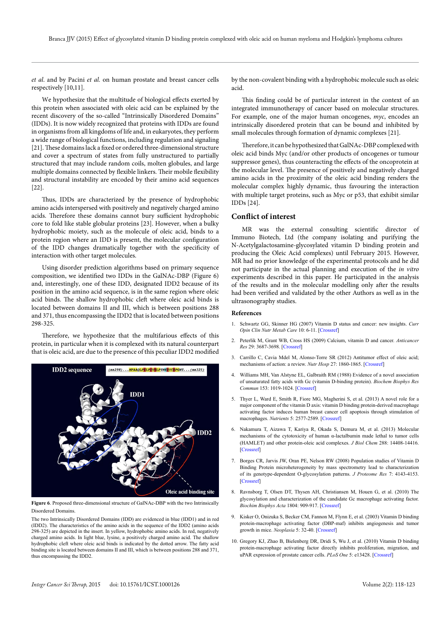*et al*. and by Pacini *et al.* on human prostate and breast cancer cells respectively [10,11].

We hypothesize that the multitude of biological effects exerted by this protein when associated with oleic acid can be explained by the recent discovery of the so-called "Intrinsically Disordered Domains" (IDDs). It is now widely recognized that proteins with IDDs are found in organisms from all kingdoms of life and, in eukaryotes, they perform a wide range of biological functions, including regulation and signaling [21]. These domains lack a fixed or ordered three-dimensional structure and cover a spectrum of states from fully unstructured to partially structured that may include random coils, molten globules, and large multiple domains connected by flexible linkers. Their mobile flexibility and structural instability are encoded by their amino acid sequences [22].

Thus, IDDs are characterized by the presence of hydrophobic amino acids interspersed with positively and negatively charged amino acids. Therefore these domains cannot bury sufficient hydrophobic core to fold like stable globular proteins [23]. However, when a bulky hydrophobic moiety, such as the molecule of oleic acid, binds to a protein region where an IDD is present, the molecular configuration of the IDD changes dramatically together with the specificity of interaction with other target molecules.

Using disorder prediction algorithms based on primary sequence composition, we identified two IDDs in the GalNAc-DBP (Figure 6) and, interestingly, one of these IDD, designated IDD2 because of its position in the amino acid sequence, is in the same region where oleic acid binds. The shallow hydrophobic cleft where oleic acid binds is located between domains II and III, which is between positions 288 and 371, thus encompassing the IDD2 that is located between positions 298-325.

Therefore, we hypothesize that the multifarious effects of this protein, in particular when it is complexed with its natural counterpart that is oleic acid, are due to the presence of this peculiar IDD2 modified



**Figure 6**. Proposed three-dimensional structure of GalNAc-DBP with the two Intrinsically Disordered Domains.

The two Intrinsically Disordered Domains (IDD) are evidenced in blue (IDD1) and in red (IDD2). The characteristics of the amino acids in the sequence of the IDD2 (amino acids 298-325) are depicted in the insert. In yellow, hydrophobic amino acids. In red, negatively charged amino acids. In light blue, lysine, a positively charged amino acid. The shallow hydrophobic cleft where oleic acid binds is indicated by the dotted arrow. The fatty acid binding site is located between domains II and III, which is between positions 288 and 371, thus encompassing the IDD2.

by the non-covalent binding with a hydrophobic molecule such as oleic acid.

This finding could be of particular interest in the context of an integrated immunotherapy of cancer based on molecular structures. For example, one of the major human oncogenes, *myc*, encodes an intrinsically disordered protein that can be bound and inhibited by small molecules through formation of dynamic complexes [21].

Therefore, it can be hypothesized that GalNAc-DBP complexed with oleic acid binds Myc (and/or other products of oncogenes or tumour suppressor genes), thus counteracting the effects of the oncoprotein at the molecular level. The presence of positively and negatively charged amino acids in the proximity of the oleic acid binding renders the molecular complex highly dynamic, thus favouring the interaction with multiple target proteins, such as Myc or p53, that exhibit similar IDDs [24].

### **Conflict of interest**

MR was the external consulting scientific director of Immuno Biotech, Ltd (the company isolating and purifying the N-Acetylgalactosamine-glycosylated vitamin D binding protein and producing the Oleic Acid complexes) until February 2015. However, MR had no prior knowledge of the experimental protocols and he did not participate in the actual planning and execution of the *in vitro*  experiments described in this paper. He participated in the analysis of the results and in the molecular modelling only after the results had been verified and validated by the other Authors as well as in the ultrasonography studies.

#### **References**

- 1. Schwartz GG, Skinner HG (2007) Vitamin D status and cancer: new insights. *Curr Opin Clin Nutr Metab Care* 10: 6-11. [[Crossref\]](http://www.ncbi.nlm.nih.gov/pubmed/17143048)
- 2. Peterlik M, Grant WB, Cross HS (2009) Calcium, vitamin D and cancer. *Anticancer Res* 29: 3687-3698. [\[Crossref](http://www.ncbi.nlm.nih.gov/pubmed/19667166)]
- 3. Carrillo C, Cavia Mdel M, Alonso-Torre SR (2012) Antitumor effect of oleic acid; mechanisms of action: a review. *Nutr Hosp* 27: 1860-1865. [\[Crossref\]](http://www.ncbi.nlm.nih.gov/pubmed/23588432)
- 4. Williams MH, Van Alstyne EL, Galbraith RM (1988) Evidence of a novel association of unsaturated fatty acids with Gc (vitamin D-binding protein). *Biochem Biophys Res Commun* 153: 1019-1024. [[Crossref\]](http://www.ncbi.nlm.nih.gov/pubmed/3134016)
- 5. Thyer L, Ward E, Smith R, Fiore MG, Magherini S, et al. (2013) A novel role for a major component of the vitamin D axis: vitamin D binding protein-derived macrophage activating factor induces human breast cancer cell apoptosis through stimulation of macrophages. *Nutrients* 5: 2577-2589. [\[Crossref\]](http://www.ncbi.nlm.nih.gov/pmc/articles/PMC3738989/)
- 6. Nakamura T, Aizawa T, Kariya R, Okada S, Demura M, et al. (2013) Molecular mechanisms of the cytotoxicity of human α-lactalbumin made lethal to tumor cells (HAMLET) and other protein-oleic acid complexes. *J Biol Chem* 288: 14408-14416. [[Crossref\]](http://www.ncbi.nlm.nih.gov/pubmed/23580643)
- 7. Borges CR, Jarvis JW, Oran PE, Nelson RW (2008) Population studies of Vitamin D Binding Protein microheterogeneity by mass spectrometry lead to characterization of its genotype-dependent O-glycosylation patterns. *J Proteome Res* 7: 4143-4153. [[Crossref\]](http://www.ncbi.nlm.nih.gov/pubmed/18686987)
- 8. Ravnsborg T, Olsen DT, Thysen AH, Christiansen M, Houen G, et al. (2010) The glycosylation and characterization of the candidate Gc macrophage activating factor. *Biochim Biophys Acta* 1804: 909-917. [\[Crossref\]](http://www.ncbi.nlm.nih.gov/pubmed/20079467)
- 9. Kisker O, Onizuka S, Becker CM, Fannon M, Flynn E, et al. (2003) Vitamin D binding protein-macrophage activating factor (DBP-maf) inhibits angiogenesis and tumor growth in mice. *Neoplasia* 5: 32-40. [[Crossref\]](http://www.ncbi.nlm.nih.gov/pubmed/12659668)
- 10. Gregory KJ, Zhao B, Bielenberg DR, Dridi S, Wu J, et al. (2010) Vitamin D binding protein-macrophage activating factor directly inhibits proliferation, migration, and uPAR expression of prostate cancer cells. *PLoS One* 5: e13428. [\[Crossref\]](http://www.ncbi.nlm.nih.gov/pubmed/20976141)